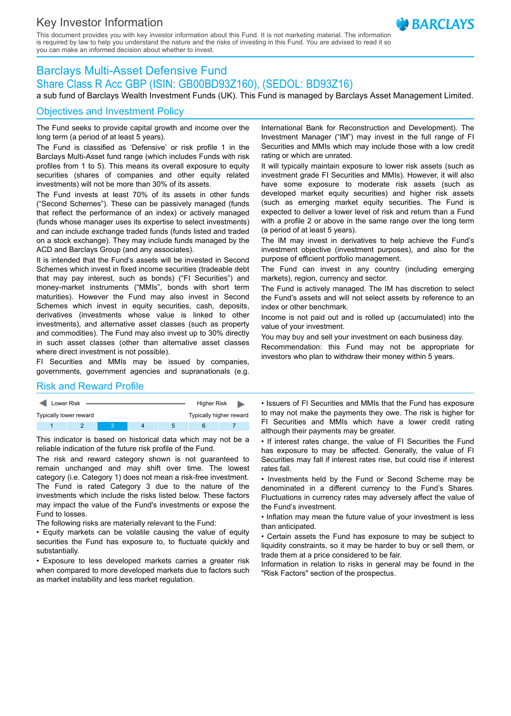### Key Investor Information

This document provides you with key investor information about this Fund. It is not marketing material. The information is required by law to help you understand the nature and the risks of investing in this Fund. You are advised to read it so you can make an informed decision about whether to invest.

# **BARCIAYS**

## Barclays Multi-Asset Defensive Fund Share Class R Acc GBP (ISIN: GB00BD93Z160), (SEDOL: BD93Z16)

a sub fund of Barclays Wealth Investment Funds (UK). This Fund is managed by Barclays Asset Management Limited.

#### Objectives and Investment Policy

The Fund seeks to provide capital growth and income over the long term (a period of at least 5 years).

The Fund is classified as 'Defensive' or risk profile 1 in the Barclays Multi-Asset fund range (which includes Funds with risk profiles from 1 to 5). This means its overall exposure to equity securities (shares of companies and other equity related investments) will not be more than 30% of its assets.

The Fund invests at least 70% of its assets in other funds ("Second Schemes"). These can be passively managed (funds that reflect the performance of an index) or actively managed (funds whose manager uses its expertise to select investments) and can include exchange traded funds (funds listed and traded on a stock exchange). They may include funds managed by the ACD and Barclays Group (and any associates).

It is intended that the Fund's assets will be invested in Second Schemes which invest in fixed income securities (tradeable debt that may pay interest, such as bonds) ("FI Securities") and money-market instruments ("MMIs", bonds with short term maturities). However the Fund may also invest in Second Schemes which invest in equity securities, cash, deposits, derivatives (investments whose value is linked to other investments), and alternative asset classes (such as property and commodities). The Fund may also invest up to 30% directly in such asset classes (other than alternative asset classes where direct investment is not possible).

FI Securities and MMIs may be issued by companies, governments, government agencies and supranationals (e.g.

#### Risk and Reward Profile

| <b>Lower Risk</b>      |  |  |  |   | <b>Higher Risk</b>      |  |  |
|------------------------|--|--|--|---|-------------------------|--|--|
| Typically lower reward |  |  |  |   | Typically higher reward |  |  |
|                        |  |  |  | h |                         |  |  |

This indicator is based on historical data which may not be a reliable indication of the future risk profile of the Fund.

The risk and reward category shown is not guaranteed to remain unchanged and may shift over time. The lowest category (i.e. Category 1) does not mean a risk-free investment. The Fund is rated Category 3 due to the nature of the investments which include the risks listed below. These factors may impact the value of the Fund's investments or expose the Fund to losses.

The following risks are materially relevant to the Fund:

• Equity markets can be volatile causing the value of equity securities the Fund has exposure to, to fluctuate quickly and substantially.

• Exposure to less developed markets carries a greater risk when compared to more developed markets due to factors such as market instability and less market regulation.

International Bank for Reconstruction and Development). The Investment Manager ("IM") may invest in the full range of FI Securities and MMIs which may include those with a low credit rating or which are unrated.

It will typically maintain exposure to lower risk assets (such as investment grade FI Securities and MMIs). However, it will also have some exposure to moderate risk assets (such as developed market equity securities) and higher risk assets (such as emerging market equity securities. The Fund is expected to deliver a lower level of risk and return than a Fund with a profile 2 or above in the same range over the long term (a period of at least 5 years).

The IM may invest in derivatives to help achieve the Fund's investment objective (investment purposes), and also for the purpose of efficient portfolio management.

The Fund can invest in any country (including emerging markets), region, currency and sector.

The Fund is actively managed. The IM has discretion to select the Fund's assets and will not select assets by reference to an index or other benchmark.

Income is not paid out and is rolled up (accumulated) into the value of your investment.

You may buy and sell your investment on each business day.

Recommendation: this Fund may not be appropriate for investors who plan to withdraw their money within 5 years.

• Issuers of FI Securities and MMIs that the Fund has exposure to may not make the payments they owe. The risk is higher for FI Securities and MMIs which have a lower credit rating although their payments may be greater.

• If interest rates change, the value of FI Securities the Fund has exposure to may be affected. Generally, the value of FI Securities may fall if interest rates rise, but could rise if interest rates fall.

• Investments held by the Fund or Second Scheme may be denominated in a different currency to the Fund's Shares. Fluctuations in currency rates may adversely affect the value of the Fund's investment.

• Inflation may mean the future value of your investment is less than anticipated.

• Certain assets the Fund has exposure to may be subject to liquidity constraints, so it may be harder to buy or sell them, or trade them at a price considered to be fair.

Information in relation to risks in general may be found in the "Risk Factors" section of the prospectus.